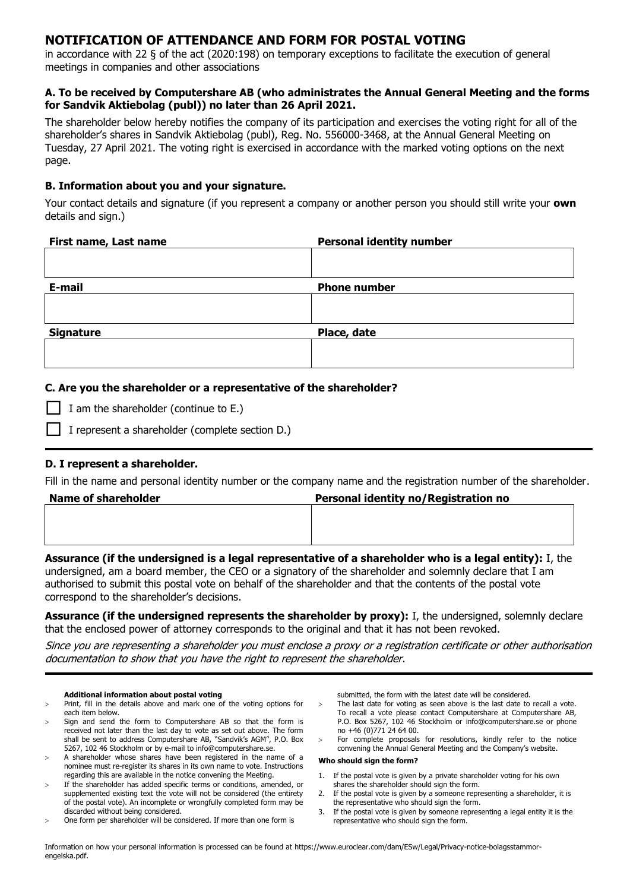# **NOTIFICATION OF ATTENDANCE AND FORM FOR POSTAL VOTING**

in accordance with 22 § of the act (2020:198) on temporary exceptions to facilitate the execution of general meetings in companies and other associations

### **A. To be received by Computershare AB (who administrates the Annual General Meeting and the forms for Sandvik Aktiebolag (publ)) no later than 26 April 2021.**

The shareholder below hereby notifies the company of its participation and exercises the voting right for all of the shareholder's shares in Sandvik Aktiebolag (publ), Reg. No. 556000-3468, at the Annual General Meeting on Tuesday, 27 April 2021. The voting right is exercised in accordance with the marked voting options on the next page.

## **B. Information about you and your signature.**

Your contact details and signature (if you represent a company or another person you should still write your **own** details and sign.)

| First name, Last name | <b>Personal identity number</b> |
|-----------------------|---------------------------------|
|                       |                                 |
|                       |                                 |
| E-mail                | <b>Phone number</b>             |
|                       |                                 |
|                       |                                 |
| <b>Signature</b>      | Place, date                     |
|                       |                                 |
|                       |                                 |

## **C. Are you the shareholder or a representative of the shareholder?**

|  | $\Box$ I am the shareholder (continue to E.) |  |  |  |  |
|--|----------------------------------------------|--|--|--|--|
|--|----------------------------------------------|--|--|--|--|

I represent a shareholder (complete section D.)

### **D. I represent a shareholder.**

Fill in the name and personal identity number or the company name and the registration number of the shareholder.

| <b>Name of shareholder</b> | Personal identity no/Registration no |  |  |  |
|----------------------------|--------------------------------------|--|--|--|
|                            |                                      |  |  |  |
|                            |                                      |  |  |  |
|                            |                                      |  |  |  |

**Assurance (if the undersigned is a legal representative of a shareholder who is a legal entity):** I, the undersigned, am a board member, the CEO or a signatory of the shareholder and solemnly declare that I am authorised to submit this postal vote on behalf of the shareholder and that the contents of the postal vote correspond to the shareholder's decisions.

**Assurance (if the undersigned represents the shareholder by proxy):** I, the undersigned, solemnly declare that the enclosed power of attorney corresponds to the original and that it has not been revoked.

Since you are representing a shareholder you must enclose a proxy or a registration certificate or other authorisation documentation to show that you have the right to represent the shareholder.

#### **Additional information about postal voting**

- Print, fill in the details above and mark one of the voting options for each item below.
- Sign and send the form to Computershare AB so that the form is received not later than the last day to vote as set out above. The form shall be sent to address Computershare AB, "Sandvik's AGM", P.O. Box 5267, 102 46 Stockholm or by e-mail to info@computershare.se.
- A shareholder whose shares have been registered in the name of a nominee must re-register its shares in its own name to vote. Instructions regarding this are available in the notice convening the Meeting.
- If the shareholder has added specific terms or conditions, amended, or supplemented existing text the vote will not be considered (the entirety of the postal vote). An incomplete or wrongfully completed form may be discarded without being considered.
- One form per shareholder will be considered. If more than one form is

submitted, the form with the latest date will be considered.

- The last date for voting as seen above is the last date to recall a vote. To recall a vote please contact Computershare at Computershare AB, P.O. Box 5267, 102 46 Stockholm or info@computershare.se or phone no +46 (0)771 24 64 00.
- For complete proposals for resolutions, kindly refer to the notice convening the Annual General Meeting and the Company's website.

#### **Who should sign the form?**

- 1. If the postal vote is given by a private shareholder voting for his own shares the shareholder should sign the form.
- 2. If the postal vote is given by a someone representing a shareholder, it is the representative who should sign the form.
- 3. If the postal vote is given by someone representing a legal entity it is the representative who should sign the form.

Information on how your personal information is processed can be found at [https://www.euroclear.com/dam/ESw/Legal/Privacy-notice-bolagsstammor](https://www.euroclear.com/dam/ESw/Legal/Privacy-notice-bolagsstammor-engelska.pdf)[engelska.pdf.](https://www.euroclear.com/dam/ESw/Legal/Privacy-notice-bolagsstammor-engelska.pdf)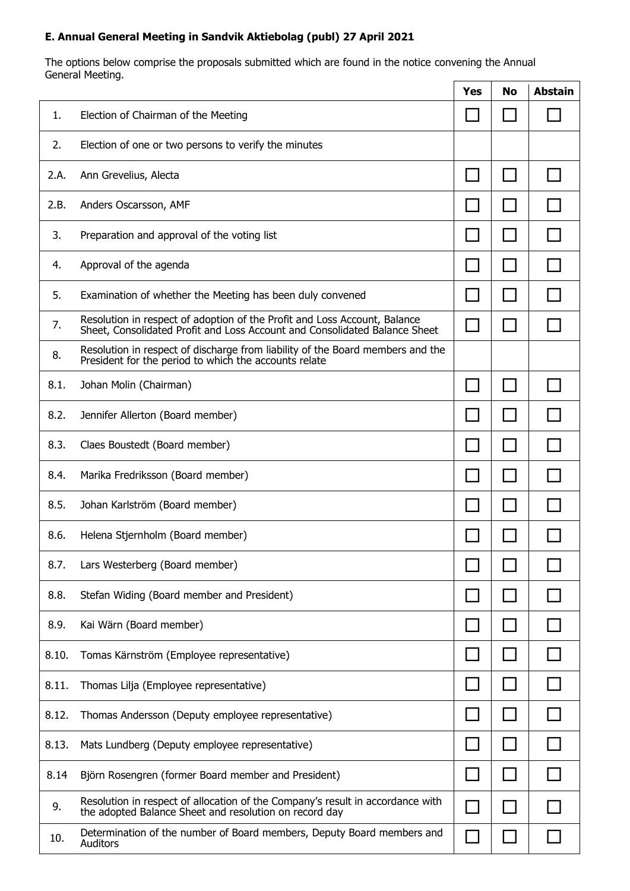# **E. Annual General Meeting in Sandvik Aktiebolag (publ) 27 April 2021**

The options below comprise the proposals submitted which are found in the notice convening the Annual General Meeting.  $\overline{\Gamma}$  $\top$ 

|       |                                                                                                                                                         | <b>Yes</b> | <b>No</b> | <b>Abstain</b> |
|-------|---------------------------------------------------------------------------------------------------------------------------------------------------------|------------|-----------|----------------|
| 1.    | Election of Chairman of the Meeting                                                                                                                     |            |           |                |
| 2.    | Election of one or two persons to verify the minutes                                                                                                    |            |           |                |
| 2.A.  | Ann Grevelius, Alecta                                                                                                                                   |            |           |                |
| 2.B.  | Anders Oscarsson, AMF                                                                                                                                   |            |           |                |
| 3.    | Preparation and approval of the voting list                                                                                                             |            |           |                |
| 4.    | Approval of the agenda                                                                                                                                  |            |           |                |
| 5.    | Examination of whether the Meeting has been duly convened                                                                                               |            |           |                |
| 7.    | Resolution in respect of adoption of the Profit and Loss Account, Balance<br>Sheet, Consolidated Profit and Loss Account and Consolidated Balance Sheet | $\sim$     |           |                |
| 8.    | Resolution in respect of discharge from liability of the Board members and the<br>President for the period to which the accounts relate                 |            |           |                |
| 8.1.  | Johan Molin (Chairman)                                                                                                                                  |            |           |                |
| 8.2.  | Jennifer Allerton (Board member)                                                                                                                        |            |           |                |
| 8.3.  | Claes Boustedt (Board member)                                                                                                                           |            |           |                |
| 8.4.  | Marika Fredriksson (Board member)                                                                                                                       |            |           |                |
| 8.5.  | Johan Karlström (Board member)                                                                                                                          |            |           |                |
| 8.6.  | Helena Stjernholm (Board member)                                                                                                                        |            |           |                |
| 8.7.  | Lars Westerberg (Board member)                                                                                                                          |            |           |                |
| 8.8.  | Stefan Widing (Board member and President)                                                                                                              |            |           |                |
| 8.9.  | Kai Wärn (Board member)                                                                                                                                 |            |           |                |
| 8.10. | Tomas Kärnström (Employee representative)                                                                                                               |            |           |                |
| 8.11. | Thomas Lilja (Employee representative)                                                                                                                  |            |           |                |
| 8.12. | Thomas Andersson (Deputy employee representative)                                                                                                       |            |           |                |
| 8.13. | Mats Lundberg (Deputy employee representative)                                                                                                          |            |           |                |
| 8.14  | Björn Rosengren (former Board member and President)                                                                                                     |            |           |                |
| 9.    | Resolution in respect of allocation of the Company's result in accordance with<br>the adopted Balance Sheet and resolution on record day                |            |           |                |
| 10.   | Determination of the number of Board members, Deputy Board members and<br>Auditors                                                                      |            |           |                |